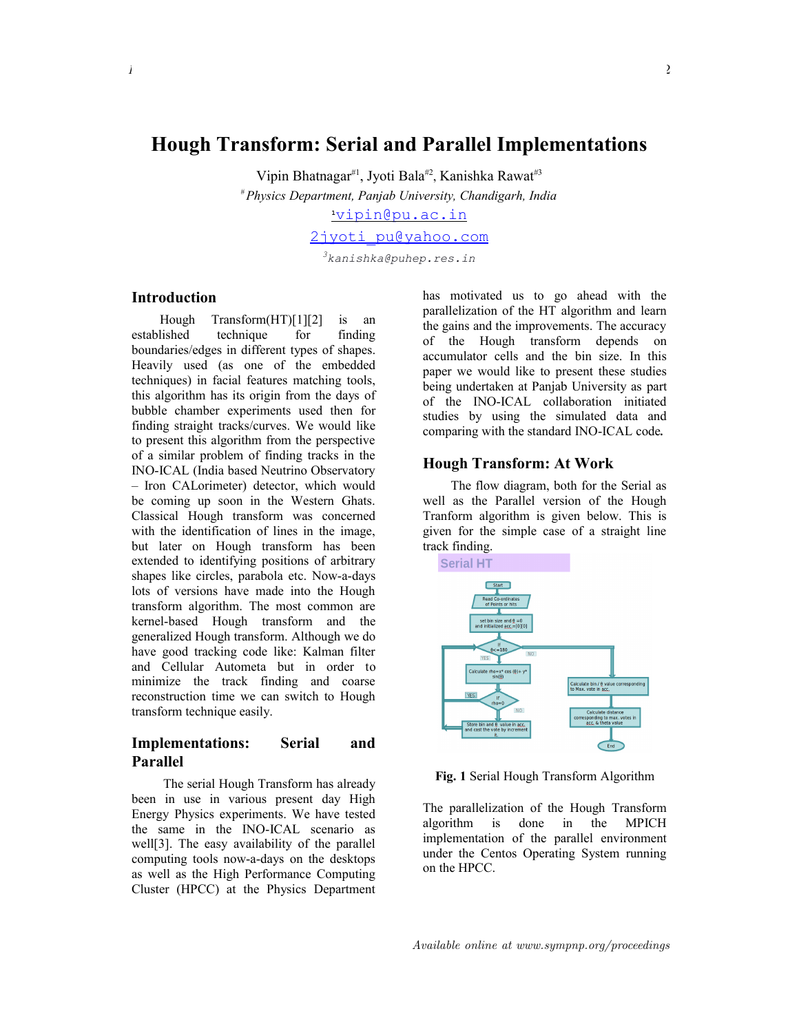Vipin Bhatnagar<sup>#1</sup>, Jyoti Bala<sup>#2</sup>, Kanishka Rawat<sup>#3</sup>

*# Physics Department, Panjab University, Chandigarh, India*

**<sup>1</sup>** [vipin@pu.ac.in](http://mail.live.com/?rru=compose%3Faction%3Dcompose%26to%3Dvipin@pu.ac.in&ru=http%3A%2F%2Fcid-70de6417760be2de.profile.live.com%2Fdetails%2F%3FContactId%3D33a45c0b-9172-47b9-9e6f-774b9f0eb726%26ru%3Dhttp%253a%252f%252fsn112w.snt112.mail.live.com%252fmail%252fContactMainLight.aspx%253fContactFilter%253d3%2526SearchEmailKeyWord%253dvipin%2526n%253d1248365163)

[2jyoti\\_pu@yahoo.com](mailto:2jyoti_pu@yahoo.com)

*<sup>3</sup>kanishka@puhep.res.in*

## **Introduction**

Hough Transform(HT)[1][2] is an established technique for finding boundaries/edges in different types of shapes. Heavily used (as one of the embedded techniques) in facial features matching tools, this algorithm has its origin from the days of bubble chamber experiments used then for finding straight tracks/curves. We would like to present this algorithm from the perspective of a similar problem of finding tracks in the INO-ICAL (India based Neutrino Observatory – Iron CALorimeter) detector, which would be coming up soon in the Western Ghats. Classical Hough transform was concerned with the identification of lines in the image. but later on Hough transform has been extended to identifying positions of arbitrary shapes like circles, parabola etc. Now-a-days lots of versions have made into the Hough transform algorithm. The most common are kernel-based Hough transform and the generalized Hough transform. Although we do have good tracking code like: Kalman filter and Cellular Autometa but in order to minimize the track finding and coarse reconstruction time we can switch to Hough transform technique easily.

## **Implementations: Serial and Parallel**

 The serial Hough Transform has already been in use in various present day High Energy Physics experiments. We have tested the same in the INO-ICAL scenario as well[3]. The easy availability of the parallel computing tools now-a-days on the desktops as well as the High Performance Computing Cluster (HPCC) at the Physics Department

has motivated us to go ahead with the parallelization of the HT algorithm and learn the gains and the improvements. The accuracy of the Hough transform depends on accumulator cells and the bin size. In this paper we would like to present these studies being undertaken at Panjab University as part of the INO-ICAL collaboration initiated studies by using the simulated data and comparing with the standard INO-ICAL code*.*

## **Hough Transform: At Work**

The flow diagram, both for the Serial as well as the Parallel version of the Hough Tranform algorithm is given below. This is given for the simple case of a straight line track finding.



**Fig. 1** Serial Hough Transform Algorithm

The parallelization of the Hough Transform algorithm is done in the MPICH implementation of the parallel environment under the Centos Operating System running on the HPCC.

Available online at www.sympnp.org/proceedings